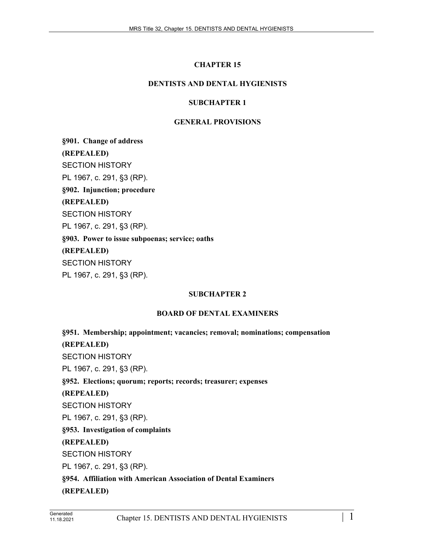# **CHAPTER 15**

## **DENTISTS AND DENTAL HYGIENISTS**

## **SUBCHAPTER 1**

## **GENERAL PROVISIONS**

**§901. Change of address (REPEALED)** SECTION HISTORY PL 1967, c. 291, §3 (RP). **§902. Injunction; procedure (REPEALED)** SECTION HISTORY PL 1967, c. 291, §3 (RP). **§903. Power to issue subpoenas; service; oaths (REPEALED)** SECTION HISTORY PL 1967, c. 291, §3 (RP).

#### **SUBCHAPTER 2**

#### **BOARD OF DENTAL EXAMINERS**

**§951. Membership; appointment; vacancies; removal; nominations; compensation (REPEALED)** SECTION HISTORY PL 1967, c. 291, §3 (RP). **§952. Elections; quorum; reports; records; treasurer; expenses (REPEALED)** SECTION HISTORY PL 1967, c. 291, §3 (RP). **§953. Investigation of complaints (REPEALED)** SECTION HISTORY PL 1967, c. 291, §3 (RP). **§954. Affiliation with American Association of Dental Examiners (REPEALED)**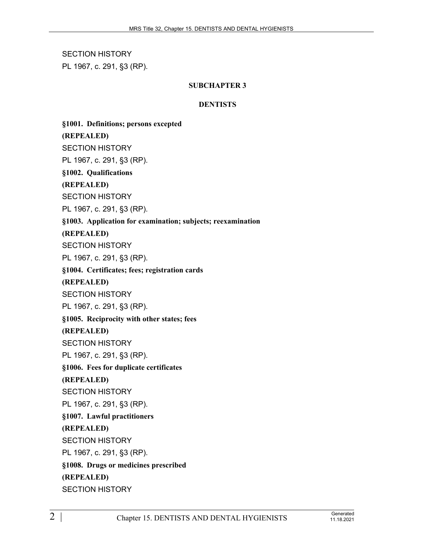SECTION HISTORY PL 1967, c. 291, §3 (RP).

## **SUBCHAPTER 3**

#### **DENTISTS**

**§1001. Definitions; persons excepted**

**(REPEALED)**

SECTION HISTORY

PL 1967, c. 291, §3 (RP).

**§1002. Qualifications**

**(REPEALED)**

SECTION HISTORY

PL 1967, c. 291, §3 (RP).

## **§1003. Application for examination; subjects; reexamination**

**(REPEALED)**

SECTION HISTORY

PL 1967, c. 291, §3 (RP).

**§1004. Certificates; fees; registration cards**

**(REPEALED)**

SECTION HISTORY

PL 1967, c. 291, §3 (RP).

**§1005. Reciprocity with other states; fees**

**(REPEALED)**

SECTION HISTORY

PL 1967, c. 291, §3 (RP).

**§1006. Fees for duplicate certificates**

**(REPEALED)**

SECTION HISTORY

PL 1967, c. 291, §3 (RP).

**§1007. Lawful practitioners**

## **(REPEALED)**

SECTION HISTORY

PL 1967, c. 291, §3 (RP).

**§1008. Drugs or medicines prescribed**

**(REPEALED)**

SECTION HISTORY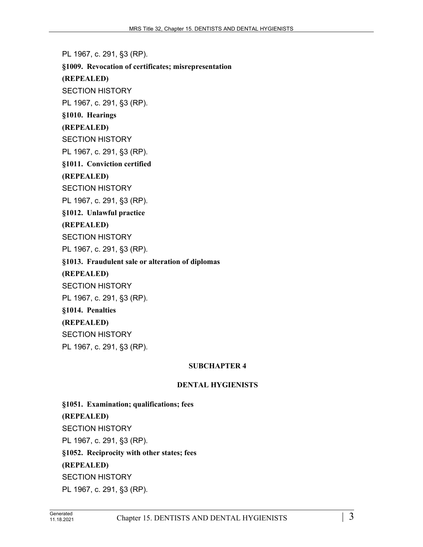PL 1967, c. 291, §3 (RP). **§1009. Revocation of certificates; misrepresentation (REPEALED)** SECTION HISTORY PL 1967, c. 291, §3 (RP). **§1010. Hearings (REPEALED)** SECTION HISTORY PL 1967, c. 291, §3 (RP). **§1011. Conviction certified (REPEALED)** SECTION HISTORY PL 1967, c. 291, §3 (RP). **§1012. Unlawful practice (REPEALED)** SECTION HISTORY PL 1967, c. 291, §3 (RP). **§1013. Fraudulent sale or alteration of diplomas (REPEALED)** SECTION HISTORY PL 1967, c. 291, §3 (RP). **§1014. Penalties (REPEALED)** SECTION HISTORY PL 1967, c. 291, §3 (RP).

#### **SUBCHAPTER 4**

#### **DENTAL HYGIENISTS**

**§1051. Examination; qualifications; fees (REPEALED)** SECTION HISTORY PL 1967, c. 291, §3 (RP). **§1052. Reciprocity with other states; fees (REPEALED)** SECTION HISTORY PL 1967, c. 291, §3 (RP).